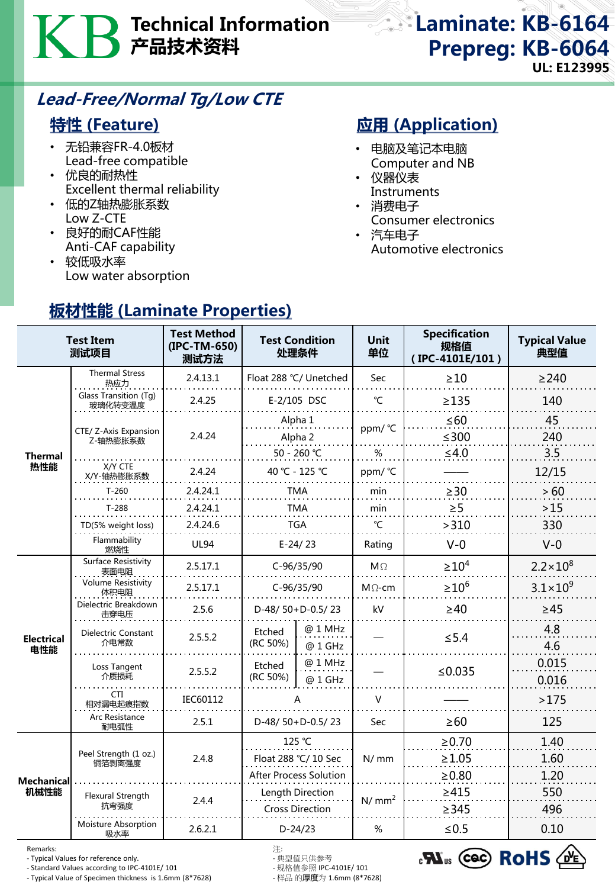# Technical Information 产品技术资料

### Laminate: KB-6164 Prepreg: KB-6064 UL: E123995

### Lead-Free/Normal Tg/Low CTE

板材性能 (Laminate Properties)

### 特性 (Feature)

- 无铅兼容FR-4.0板材 Lead-free compatible
- 优良的耐热性 Excellent thermal reliability
- 低的Z轴热膨胀系数 Low Z-CTE
- 良好的耐CAF性能 Anti-CAF capability
- 较低吸水率 Low water absorption

## **应用 (Application)**

- 电脑及笔记本电脑 Computer and NB
- 仪器仪表 **Instruments**
- 消费电子
- Consumer electronics
- 汽车电子 Automotive electronics

|                           | <b>Test Item</b><br>测试项目          | <b>Test Method</b><br>(IPC-TM-650)<br>测试方法 |                                            | <b>Test Condition</b><br>处理条件 | <b>Unit</b><br>单位 | <b>Specification</b><br>规格值<br>(IPC-4101E/101) | <b>Typical Value</b><br>典型值 |
|---------------------------|-----------------------------------|--------------------------------------------|--------------------------------------------|-------------------------------|-------------------|------------------------------------------------|-----------------------------|
| Thermal<br>热性能            | <b>Thermal Stress</b><br>热应力      | 2.4.13.1                                   | Float 288 °C/ Unetched                     |                               | <b>Sec</b>        | $\geq 10$                                      | $\geq$ 240                  |
|                           | Glass Transition (Tg)<br>玻璃化转变温度  | 2.4.25                                     | E-2/105 DSC                                |                               | $\mathrm{C}$      | $\geq$ 135                                     | 140                         |
|                           |                                   | 2.4.24                                     | Alpha 1                                    |                               | ppm/ °C           | $\leq 60$                                      | 45                          |
|                           | CTE/ Z-Axis Expansion<br>Z-轴热膨胀系数 |                                            | Alpha 2                                    |                               |                   | $\leq 300$                                     | 240                         |
|                           | X/Y CTE                           |                                            | 50 - 260 ℃                                 |                               | %                 | $≤4.0$                                         | 3.5                         |
|                           | X/Y-轴热膨胀系数                        | 2.4.24                                     | 40 °C - 125 °C                             |                               | ppm/ °C           |                                                | 12/15                       |
|                           | $T-260$                           | 2.4.24.1                                   | TMA                                        |                               | min               | $\geq$ 30                                      | >60                         |
|                           | $T-288$                           | 2.4.24.1                                   | <b>TMA</b>                                 |                               | min               | $\geq 5$                                       | >15                         |
|                           | TD(5% weight loss)                | 2.4.24.6                                   | <b>TGA</b>                                 |                               | $\mathrm{C}$      | >310                                           | 330                         |
|                           | Flammability<br>燃烧性               | <b>UL94</b>                                | $E-24/23$                                  |                               | Rating            | $V-0$                                          | $V-0$                       |
| <b>Electrical</b><br>电性能  | Surface Resistivity<br>表面电阻       | 2.5.17.1                                   | C-96/35/90                                 |                               | $M\Omega$         | $\geq 10^4$                                    | $2.2 \times 10^{8}$         |
|                           | Volume Resistivity<br>体积电阻        | 2.5.17.1                                   | C-96/35/90                                 |                               | $M \Omega$ -cm    | $\geq 10^6$                                    | $3.1 \times 10^{9}$         |
|                           | Dielectric Breakdown<br>击穿电压      | 2.5.6                                      | D-48/50+D-0.5/23                           |                               | kV                | $\geq 40$                                      | $\geq 45$                   |
|                           | Dielectric Constant<br>介电常数       | 2.5.5.2                                    | Etched<br>(RC 50%)                         | @ 1 MHz<br>@ 1 GHz            |                   | $≤ 5.4$                                        | 4.8<br>4.6                  |
|                           | Loss Tangent<br>介质损耗              | 2.5.5.2                                    | Etched<br>(RC 50%)                         | @ 1 MHz<br>@ 1 GHz            |                   | ≤ $0.035$                                      | 0.015<br>0.016              |
|                           | CTI.<br>相对漏电起痕指数                  | IEC60112                                   | А                                          |                               | $\vee$            |                                                | >175                        |
|                           | Arc Resistance<br>耐电弧性            | 2.5.1                                      | D-48/50+D-0.5/23                           |                               | Sec               | $\geq 60$                                      | 125                         |
| <b>Mechanical</b><br>机械性能 | Peel Strength (1 oz.)<br>铜箔剥离强度   | 2.4.8                                      | 125 °C<br>Float 288 °C/ 10 Sec             |                               | N/mm              | $\ge 0.70$                                     | 1.40                        |
|                           |                                   |                                            |                                            |                               |                   | $\geq 1.05$                                    | 1.60                        |
|                           |                                   |                                            | <b>After Process Solution</b>              |                               |                   | $\geq 0.80$                                    | 1.20                        |
|                           | Flexural Strength                 | 2.4.4                                      | Length Direction<br><b>Cross Direction</b> |                               | N/mm <sup>2</sup> | $\geq 415$                                     | 550                         |
|                           | 抗弯强度                              |                                            |                                            |                               |                   | $\geq$ 345                                     | 496                         |
|                           | <b>Moisture Absorption</b><br>吸水率 | 2.6.2.1                                    | $D-24/23$                                  |                               | %                 | $≤0.5$                                         | 0.10                        |

Remarks: 注:

- Typical Values for reference only. - 典型值只供参考

- Standard Values according to IPC-4101E/ 101 - 规格值参照 IPC-4101E/ 101 - Typical Value of Specimen thickness is 1.6mm (8\*7628)